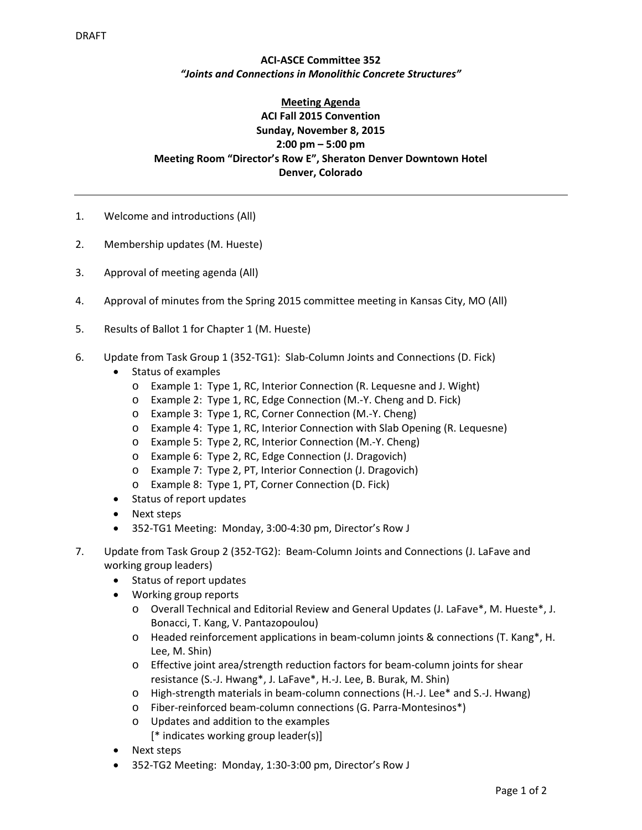## **ACI‐ASCE Committee 352** *"Joints and Connections in Monolithic Concrete Structures"*

## **Meeting Agenda ACI Fall 2015 Convention Sunday, November 8, 2015 2:00 pm – 5:00 pm Meeting Room "Director's Row E", Sheraton Denver Downtown Hotel Denver, Colorado**

- 1. Welcome and introductions (All)
- 2. Membership updates (M. Hueste)
- 3. Approval of meeting agenda (All)
- 4. Approval of minutes from the Spring 2015 committee meeting in Kansas City, MO (All)
- 5. Results of Ballot 1 for Chapter 1 (M. Hueste)
- 6. Update from Task Group 1 (352‐TG1): Slab‐Column Joints and Connections (D. Fick)
	- Status of examples
		- o Example 1: Type 1, RC, Interior Connection (R. Lequesne and J. Wight)
		- o Example 2: Type 1, RC, Edge Connection (M.‐Y. Cheng and D. Fick)
		- o Example 3: Type 1, RC, Corner Connection (M.‐Y. Cheng)
		- o Example 4: Type 1, RC, Interior Connection with Slab Opening (R. Lequesne)
		- o Example 5: Type 2, RC, Interior Connection (M.‐Y. Cheng)
		- o Example 6: Type 2, RC, Edge Connection (J. Dragovich)
		- o Example 7: Type 2, PT, Interior Connection (J. Dragovich)
		- o Example 8: Type 1, PT, Corner Connection (D. Fick)
	- Status of report updates
	- Next steps
	- 352‐TG1 Meeting: Monday, 3:00‐4:30 pm, Director's Row J
- 7. Update from Task Group 2 (352‐TG2): Beam‐Column Joints and Connections (J. LaFave and working group leaders)
	- Status of report updates
	- Working group reports
		- o Overall Technical and Editorial Review and General Updates (J. LaFave\*, M. Hueste\*, J. Bonacci, T. Kang, V. Pantazopoulou)
		- o Headed reinforcement applications in beam‐column joints & connections (T. Kang\*, H. Lee, M. Shin)
		- o Effective joint area/strength reduction factors for beam‐column joints for shear resistance (S.‐J. Hwang\*, J. LaFave\*, H.‐J. Lee, B. Burak, M. Shin)
		- o High‐strength materials in beam‐column connections (H.‐J. Lee\* and S.‐J. Hwang)
		- o Fiber‐reinforced beam‐column connections (G. Parra‐Montesinos\*)
		- o Updates and addition to the examples
			- [\* indicates working group leader(s)]
	- Next steps
	- 352‐TG2 Meeting: Monday, 1:30‐3:00 pm, Director's Row J